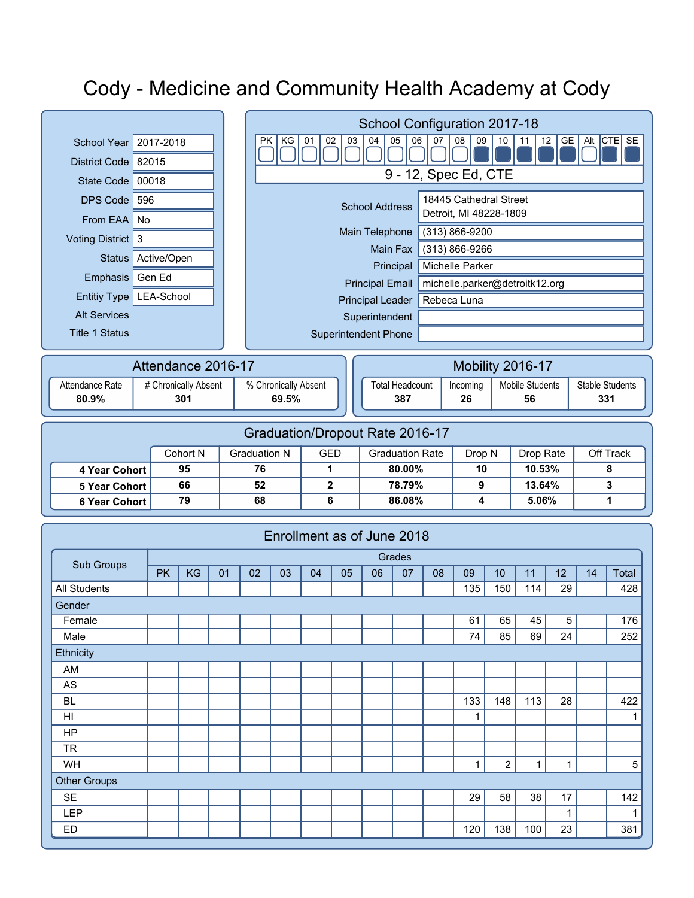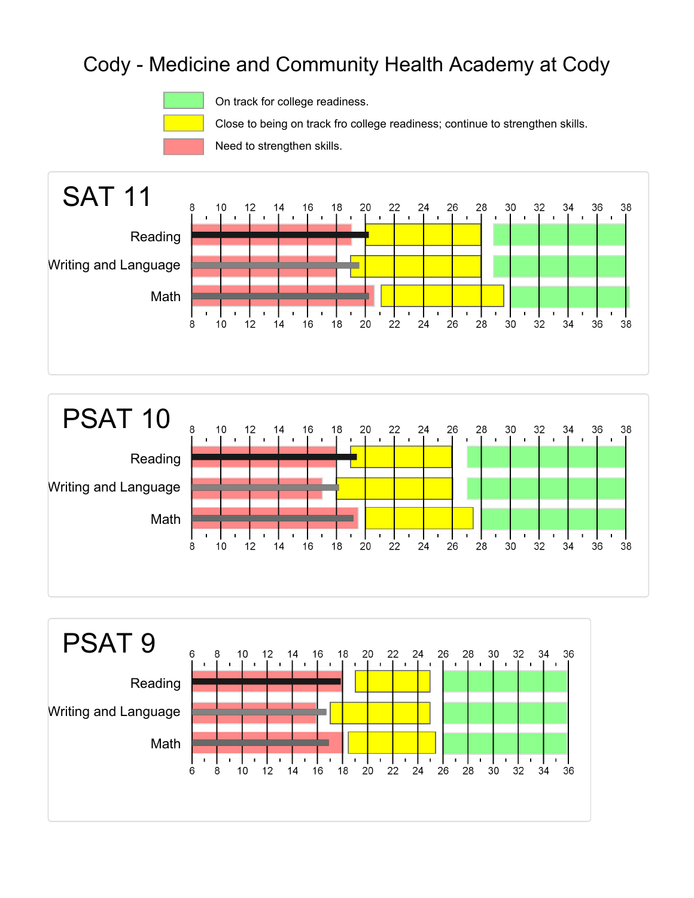

On track for college readiness.

Close to being on track fro college readiness; continue to strengthen skills.

Need to strengthen skills.





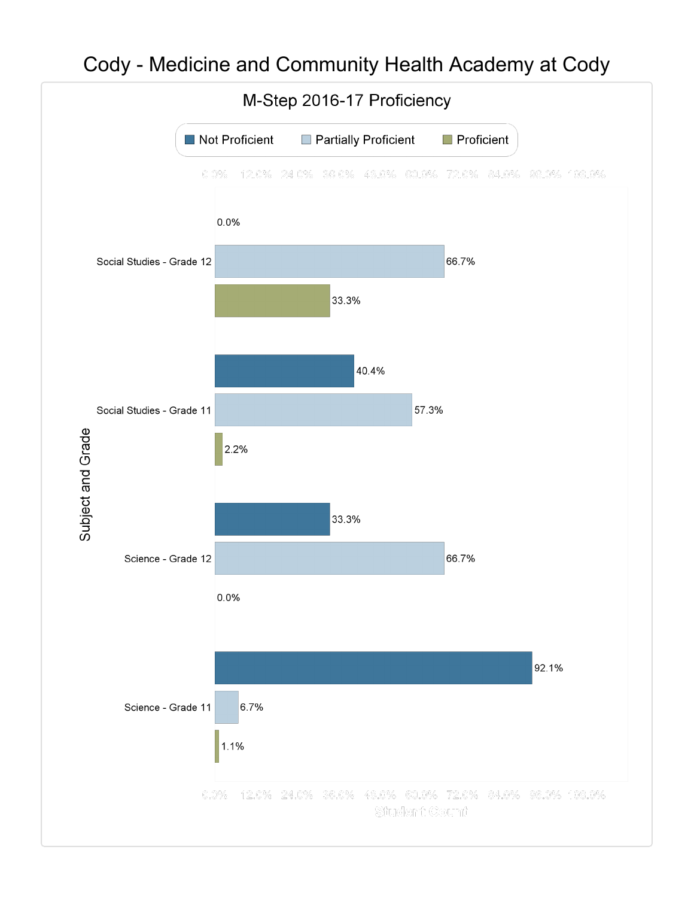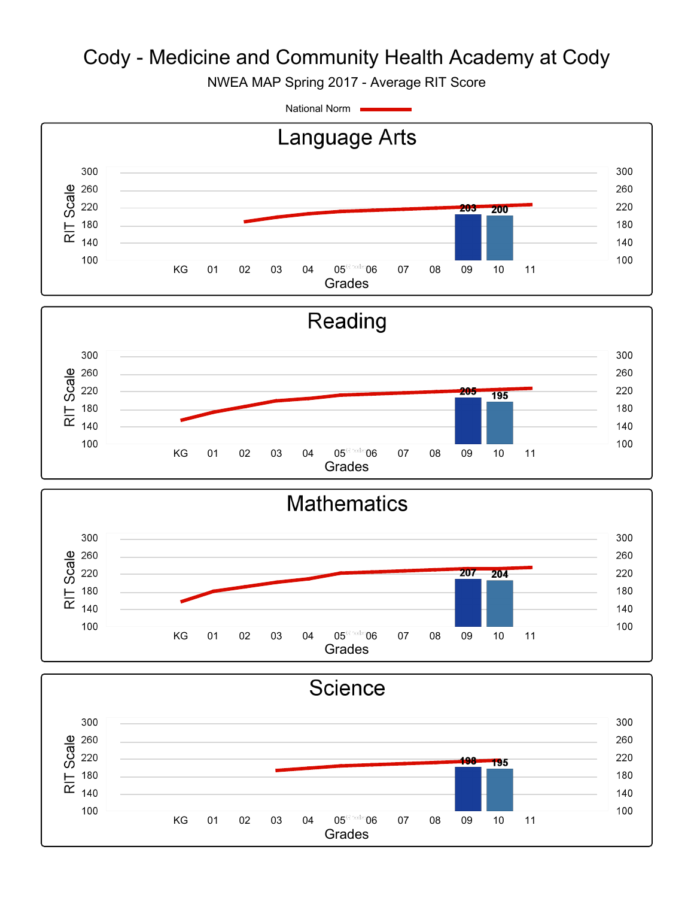NWEA MAP Spring 2017 - Average RIT Score